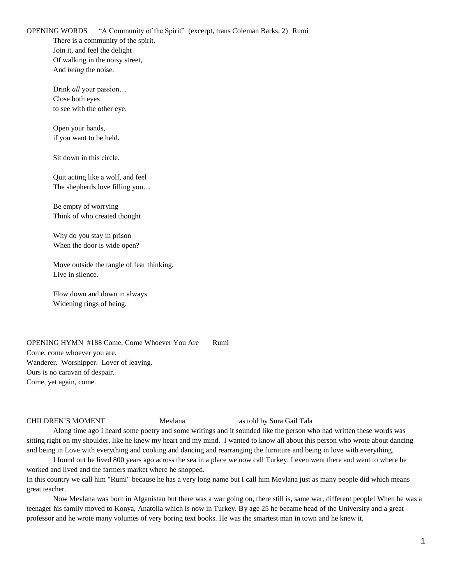# OPENING WORDS "A Community of the Spirit" (excerpt, trans Coleman Barks, 2) Rumi

There is a community of the spirit. Join it, and feel the delight Of walking in the noisy street, And *being* the noise.

Drink *all* your passion… Close both eyes to see with the other eye.

Open your hands, if you want to be held.

Sit down in this circle.

Quit acting like a wolf, and feel The shepherds love filling you…

Be empty of worrying Think of who created thought

Why do you stay in prison When the door is wide open?

Move outside the tangle of fear thinking. Live in silence.

Flow down and down in always Widening rings of being.

OPENING HYMN #188 Come, Come Whoever You Are Rumi Come, come whoever you are. Wanderer. Worshipper. Lover of leaving. Ours is no caravan of despair. Come, yet again, come.

#### CHILDREN'S MOMENT Mevlana as told by Sura Gail Tala

Along time ago I heard some poetry and some writings and it sounded like the person who had written these words was sitting right on my shoulder, like he knew my heart and my mind. I wanted to know all about this person who wrote about dancing and being in Love with everything and cooking and dancing and rearranging the furniture and being in love with everything.

 I found out he lived 800 years ago across the sea in a place we now call Turkey. I even went there and went to where he worked and lived and the farmers market where he shopped.

In this country we call him "Rumi" because he has a very long name but I call him Mevlana just as many people did which means great teacher.

 Now Mevlana was born in Afganistan but there was a war going on, there still is, same war, different people! When he was a teenager his family moved to Konya, Anatolia which is now in Turkey. By age 25 he became head of the University and a great professor and he wrote many volumes of very boring text books. He was the smartest man in town and he knew it.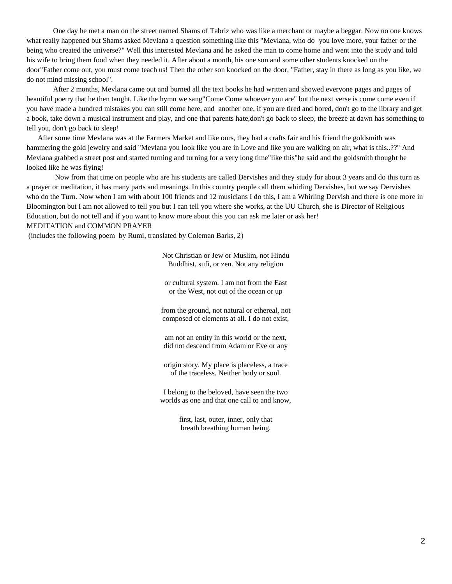One day he met a man on the street named Shams of Tabriz who was like a merchant or maybe a beggar. Now no one knows what really happened but Shams asked Mevlana a question something like this "Mevlana, who do you love more, your father or the being who created the universe?" Well this interested Mevlana and he asked the man to come home and went into the study and told his wife to bring them food when they needed it. After about a month, his one son and some other students knocked on the door"Father come out, you must come teach us! Then the other son knocked on the door, "Father, stay in there as long as you like, we do not mind missing school".

After 2 months, Mevlana came out and burned all the text books he had written and showed everyone pages and pages of beautiful poetry that he then taught. Like the hymn we sang"Come Come whoever you are" but the next verse is come come even if you have made a hundred mistakes you can still come here, and another one, if you are tired and bored, don't go to the library and get a book, take down a musical instrument and play, and one that parents hate,don't go back to sleep, the breeze at dawn has something to tell you, don't go back to sleep!

 After some time Mevlana was at the Farmers Market and like ours, they had a crafts fair and his friend the goldsmith was hammering the gold jewelry and said "Mevlana you look like you are in Love and like you are walking on air, what is this..??" And Mevlana grabbed a street post and started turning and turning for a very long time"like this"he said and the goldsmith thought he looked like he was flying!

Now from that time on people who are his students are called Dervishes and they study for about 3 years and do this turn as a prayer or meditation, it has many parts and meanings. In this country people call them whirling Dervishes, but we say Dervishes who do the Turn. Now when I am with about 100 friends and 12 musicians I do this, I am a Whirling Dervish and there is one more in Bloomington but I am not allowed to tell you but I can tell you where she works, at the UU Church, she is Director of Religious Education, but do not tell and if you want to know more about this you can ask me later or ask her!

#### MEDITATION and COMMON PRAYER

(includes the following poem by Rumi, translated by Coleman Barks, 2)

Not Christian or Jew or Muslim, not Hindu Buddhist, sufi, or zen. Not any religion

or cultural system. I am not from the East or the West, not out of the ocean or up

from the ground, not natural or ethereal, not composed of elements at all. I do not exist,

am not an entity in this world or the next, did not descend from Adam or Eve or any

origin story. My place is placeless, a trace of the traceless. Neither body or soul.

I belong to the beloved, have seen the two worlds as one and that one call to and know,

> first, last, outer, inner, only that breath breathing human being.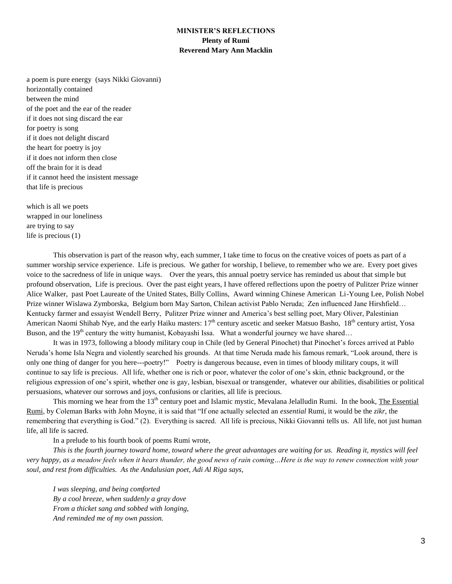# **MINISTER'S REFLECTIONS Plenty of Rumi Reverend Mary Ann Macklin**

a poem is pure energy (says Nikki Giovanni) horizontally contained between the mind of the poet and the ear of the reader if it does not sing discard the ear for poetry is song if it does not delight discard the heart for poetry is joy if it does not inform then close off the brain for it is dead if it cannot heed the insistent message that life is precious

which is all we poets wrapped in our loneliness are trying to say life is precious (1)

This observation is part of the reason why, each summer, I take time to focus on the creative voices of poets as part of a summer worship service experience. Life is precious. We gather for worship, I believe, to remember who we are. Every poet gives voice to the sacredness of life in unique ways. Over the years, this annual poetry service has reminded us about that simple but profound observation, Life is precious. Over the past eight years, I have offered reflections upon the poetry of Pulitzer Prize winner Alice Walker, past Poet Laureate of the United States, Billy Collins, Award winning Chinese American Li-Young Lee, Polish Nobel Prize winner Wislawa Zymborska, Belgium born May Sarton, Chilean activist Pablo Neruda; Zen influenced Jane Hirshfield… Kentucky farmer and essayist Wendell Berry, Pulitzer Prize winner and America's best selling poet, Mary Oliver, Palestinian American Naomi Shihab Nye, and the early Haiku masters: 17<sup>th</sup> century ascetic and seeker Matsuo Basho, 18<sup>th</sup> century artist, Yosa Buson, and the  $19<sup>th</sup>$  century the witty humanist, Kobayashi Issa. What a wonderful journey we have shared…

It was in 1973, following a bloody military coup in Chile (led by General Pinochet) that Pinochet's forces arrived at Pablo Neruda's home Isla Negra and violently searched his grounds. At that time Neruda made his famous remark, "Look around, there is only one thing of danger for you here---poetry!" Poetry is dangerous because, even in times of bloody military coups, it will continue to say life is precious. All life, whether one is rich or poor, whatever the color of one's skin, ethnic background, or the religious expression of one's spirit, whether one is gay, lesbian, bisexual or transgender, whatever our abilities, disabilities or political persuasions, whatever our sorrows and joys, confusions or clarities, all life is precious.

This morning we hear from the 13<sup>th</sup> century poet and Islamic mystic, Mevalana Jelalludin Rumi. In the book, The Essential Rumi, by Coleman Barks with John Moyne, it is said that "If one actually selected an *essential* Rumi, it would be the *zikr,* the remembering that everything is God." (2). Everything is sacred. All life is precious, Nikki Giovanni tells us. All life, not just human life, all life is sacred.

In a prelude to his fourth book of poems Rumi wrote,

*This is the fourth journey toward home, toward where the great advantages are waiting for us. Reading it, mystics will feel very happy, as a meadow feels when it hears thunder, the good news of rain coming…Here is the way to renew connection with your soul, and rest from difficulties. As the Andalusian poet, Adi Al Riga says,* 

*I was sleeping, and being comforted By a cool breeze, when suddenly a gray dove From a thicket sang and sobbed with longing, And reminded me of my own passion.*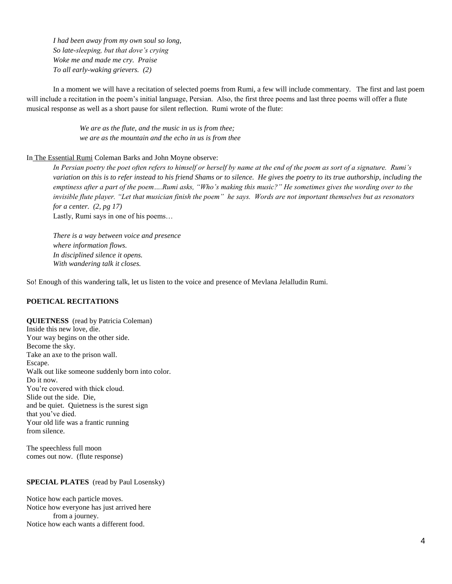*I had been away from my own soul so long, So late-sleeping, but that dove's crying Woke me and made me cry. Praise To all early-waking grievers. (2)*

In a moment we will have a recitation of selected poems from Rumi, a few will include commentary. The first and last poem will include a recitation in the poem's initial language, Persian. Also, the first three poems and last three poems will offer a flute musical response as well as a short pause for silent reflection. Rumi wrote of the flute:

> *We are as the flute, and the music in us is from thee; we are as the mountain and the echo in us is from thee*

#### In The Essential Rumi Coleman Barks and John Moyne observe:

*In Persian poetry the poet often refers to himself or herself by name at the end of the poem as sort of a signature. Rumi's variation on this is to refer instead to his friend Shams or to silence. He gives the poetry to its true authorship, including the emptiness after a part of the poem….Rumi asks, "Who's making this music?" He sometimes gives the wording over to the invisible flute player. "Let that musician finish the poem" he says. Words are not important themselves but as resonators for a center. (2, pg 17)* Lastly, Rumi says in one of his poems…

*There is a way between voice and presence where information flows. In disciplined silence it opens. With wandering talk it closes.*

So! Enough of this wandering talk, let us listen to the voice and presence of Mevlana Jelalludin Rumi.

# **POETICAL RECITATIONS**

**QUIETNESS** (read by Patricia Coleman) Inside this new love, die. Your way begins on the other side. Become the sky. Take an axe to the prison wall. Escape. Walk out like someone suddenly born into color. Do it now. You're covered with thick cloud. Slide out the side. Die, and be quiet. Quietness is the surest sign that you've died. Your old life was a frantic running from silence.

The speechless full moon comes out now. (flute response)

# **SPECIAL PLATES** (read by Paul Losensky)

Notice how each particle moves. Notice how everyone has just arrived here from a journey. Notice how each wants a different food.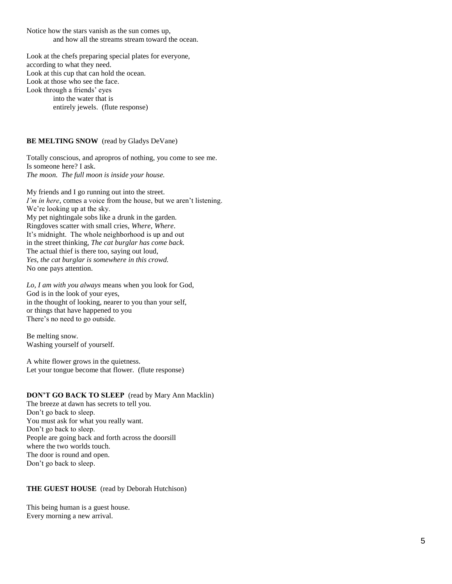#### Notice how the stars vanish as the sun comes up, and how all the streams stream toward the ocean.

Look at the chefs preparing special plates for everyone, according to what they need. Look at this cup that can hold the ocean. Look at those who see the face. Look through a friends' eyes into the water that is entirely jewels. (flute response)

### BE MELTING SNOW (read by Gladys DeVane)

Totally conscious, and apropros of nothing, you come to see me. Is someone here? I ask. *The moon. The full moon is inside your house.*

My friends and I go running out into the street. *I'm in here*, comes a voice from the house, but we aren't listening. We're looking up at the sky. My pet nightingale sobs like a drunk in the garden. Ringdoves scatter with small cries, *Where, Where* . It's midnight. The whole neighborhood is up and out in the street thinking, *The cat burglar has come back.* The actual thief is there too, saying out loud, *Yes, the cat burglar is somewhere in this crowd.* No one pays attention.

*Lo, I am with you always* means when you look for God, God is in the look of your eyes, in the thought of looking, nearer to you than your self, or things that have happened to you There's no need to go outside.

Be melting snow. Washing yourself of yourself.

A white flower grows in the quietness. Let your tongue become that flower. (flute response)

#### **DON'T GO BACK TO SLEEP** (read by Mary Ann Macklin )

The breeze at dawn has secrets to tell you. Don't go back to sleep. You must ask for what you really want. Don't go back to sleep. People are going back and forth across the doorsill where the two worlds touch. The door is round and open. Don't go back to sleep .

# THE GUEST HOUSE (read by Deborah Hutchison)

This being human is a guest house. Every morning a new arrival.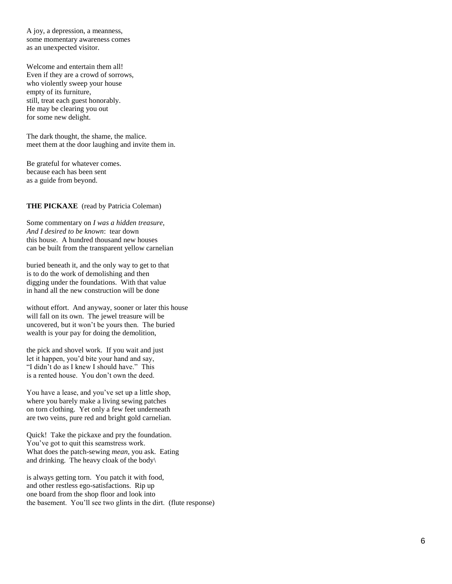A joy, a depression, a meanness, some momentary awareness comes as an unexpected visitor.

Welcome and entertain them all! Even if they are a crowd of sorrows, who violently sweep your house empty of its furniture, still, treat each guest honorably. He may be clearing you out for some new delight.

The dark thought, the shame, the malice. meet them at the door laughing and invite them in.

Be grateful for whatever comes. because each has been sent as a guide from beyond.

#### **THE PICKAXE** (read by Patricia Coleman)

Some commentary on *I was a hidden treasure, And I desired to be known*: tear down this house. A hundred thousand new houses can be built from the transparent yellow carnelian

buried beneath it, and the only way to get to that is to do the work of demolishing and then digging under the foundations. With that value in hand all the new construction will be done

without effort. And anyway, sooner or later this house will fall on its own. The jewel treasure will be uncovered, but it won't be yours then. The buried wealth is your pay for doing the demolition,

the pick and shovel work. If you wait and just let it happen, you'd bite your hand and say, "I didn't do as I knew I should have." This is a rented house. You don't own the deed.

You have a lease, and you've set up a little shop, where you barely make a living sewing patches on torn clothing. Yet only a few feet underneath are two veins, pure red and bright gold carnelian.

Quick! Take the pickaxe and pry the foundation. You've got to quit this seamstress work. What does the patch -sewing *mean*, you ask. Eating and drinking. The heavy cloak of the body

is always getting torn. You patch it with food, and other restless ego -satisfactions. Rip up one board from the shop floor and look into the basement. You'll see two glints in the dirt. (flute response)